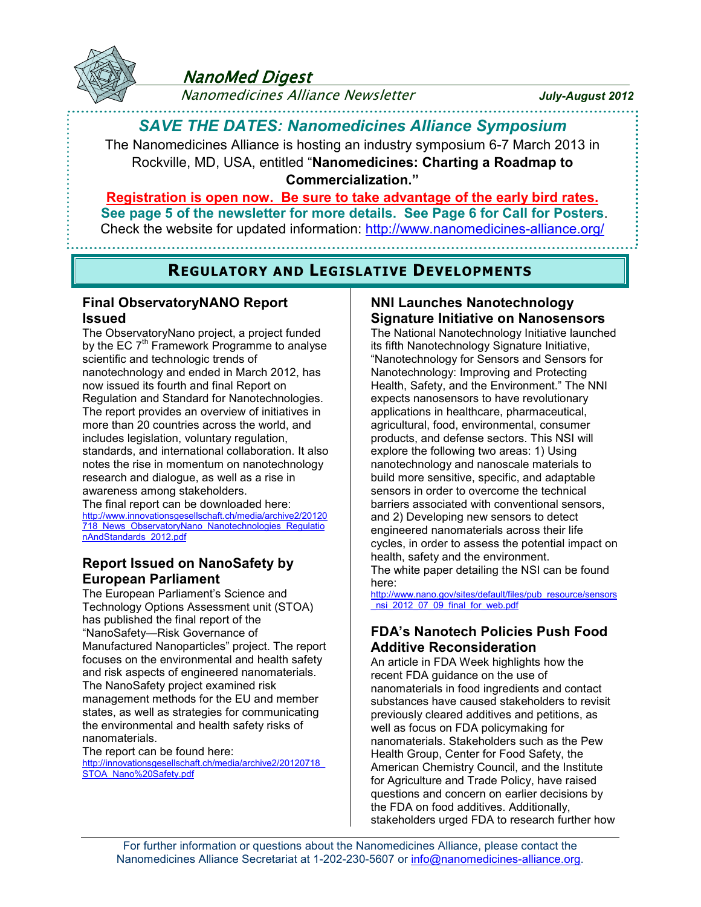

## **NanoMed Digest**

Nanomedicines Alliance Newsletter *July-August 2012*

# *SAVE THE DATES: Nanomedicines Alliance Symposium*

The Nanomedicines Alliance is hosting an industry symposium 6-7 March 2013 in Rockville, MD, USA, entitled "**Nanomedicines: Charting a Roadmap to Commercialization."**

### **Registration is open now. Be sure to take advantage of the early bird rates. See page 5 of the newsletter for more details. See Page 6 for Call for Posters**. Check the website for updated information:<http://www.nanomedicines-alliance.org/>

## **REGULATORY AND LEGISLATIVE DEVELOPMENTS**

### **Final ObservatoryNANO Report Issued**

The ObservatoryNano project, a project funded by the EC  $7<sup>th</sup>$  Framework Programme to analyse scientific and technologic trends of nanotechnology and ended in March 2012, has now issued its fourth and final Report on Regulation and Standard for Nanotechnologies. The report provides an overview of initiatives in more than 20 countries across the world, and includes legislation, voluntary regulation, standards, and international collaboration. It also notes the rise in momentum on nanotechnology research and dialogue, as well as a rise in awareness among stakeholders.

The final report can be downloaded here: [http://www.innovationsgesellschaft.ch/media/archive2/20120](http://www.innovationsgesellschaft.ch/media/archive2/20120718_News_ObservatoryNano_Nanotechnologies_RegulationAndStandards_2012.pdf) [718\\_News\\_ObservatoryNano\\_Nanotechnologies\\_Regulatio](http://www.innovationsgesellschaft.ch/media/archive2/20120718_News_ObservatoryNano_Nanotechnologies_RegulationAndStandards_2012.pdf) [nAndStandards\\_2012.pdf](http://www.innovationsgesellschaft.ch/media/archive2/20120718_News_ObservatoryNano_Nanotechnologies_RegulationAndStandards_2012.pdf)

## **Report Issued on NanoSafety by European Parliament**

The European Parliament's Science and Technology Options Assessment unit (STOA) has published the final report of the "NanoSafety—Risk Governance of Manufactured Nanoparticles" project. The report focuses on the environmental and health safety and risk aspects of engineered nanomaterials. The NanoSafety project examined risk management methods for the EU and member states, as well as strategies for communicating the environmental and health safety risks of nanomaterials.

The report can be found here: [http://innovationsgesellschaft.ch/media/archive2/20120718\\_](http://innovationsgesellschaft.ch/media/archive2/20120718_STOA_Nano Safety.pdf) [STOA\\_Nano%20Safety.pdf](http://innovationsgesellschaft.ch/media/archive2/20120718_STOA_Nano Safety.pdf)

## **NNI Launches Nanotechnology Signature Initiative on Nanosensors**

The National Nanotechnology Initiative launched its fifth Nanotechnology Signature Initiative, "Nanotechnology for Sensors and Sensors for Nanotechnology: Improving and Protecting Health, Safety, and the Environment." The NNI expects nanosensors to have revolutionary applications in healthcare, pharmaceutical, agricultural, food, environmental, consumer products, and defense sectors. This NSI will explore the following two areas: 1) Using nanotechnology and nanoscale materials to build more sensitive, specific, and adaptable sensors in order to overcome the technical barriers associated with conventional sensors, and 2) Developing new sensors to detect engineered nanomaterials across their life cycles, in order to assess the potential impact on health, safety and the environment. The white paper detailing the NSI can be found

here: [http://www.nano.gov/sites/default/files/pub\\_resource/sensors](http://www.nano.gov/sites/default/files/pub_resource/sensors_nsi_2012_07_09_final_for_web.pdf)

nsi\_2012\_07\_09\_final\_for\_web.pdf

## **FDA's Nanotech Policies Push Food Additive Reconsideration**

An article in FDA Week highlights how the recent FDA guidance on the use of nanomaterials in food ingredients and contact substances have caused stakeholders to revisit previously cleared additives and petitions, as well as focus on FDA policymaking for nanomaterials. Stakeholders such as the Pew Health Group, Center for Food Safety, the American Chemistry Council, and the Institute for Agriculture and Trade Policy, have raised questions and concern on earlier decisions by the FDA on food additives. Additionally, stakeholders urged FDA to research further how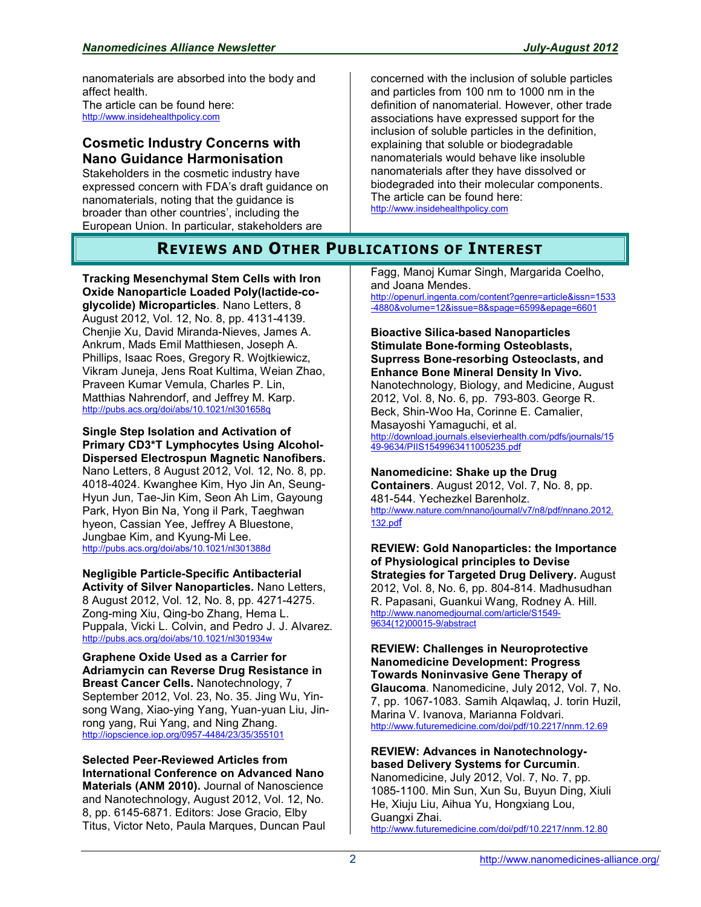nanomaterials are absorbed into the body and affect health. The article can be found here: [http://www.insidehealthpolicy.com](http://www.insidehealthpolicy.com/)

### **Cosmetic Industry Concerns with Nano Guidance Harmonisation**

Stakeholders in the cosmetic industry have expressed concern with FDA's draft guidance on nanomaterials, noting that the guidance is broader than other countries', including the European Union. In particular, stakeholders are

concerned with the inclusion of soluble particles and particles from 100 nm to 1000 nm in the definition of nanomaterial. However, other trade associations have expressed support for the inclusion of soluble particles in the definition, explaining that soluble or biodegradable nanomaterials would behave like insoluble nanomaterials after they have dissolved or biodegraded into their molecular components. The article can be found here: [http://www.insidehealthpolicy.com](http://www.insidehealthpolicy.com/)

## **REVIEWS AND OTHER PUBLICATIONS OF INTEREST**

**Tracking Mesenchymal Stem Cells with Iron Oxide Nanoparticle Loaded Poly(lactide-coglycolide) Microparticles**. Nano Letters, 8 August 2012, Vol. 12, No. 8, pp. 4131-4139. Chenjie Xu, David Miranda-Nieves, James A. Ankrum, Mads Emil Matthiesen, Joseph A. Phillips, Isaac Roes, Gregory R. Wojtkiewicz, Vikram Juneja, Jens Roat Kultima, Weian Zhao, Praveen Kumar Vemula, Charles P. Lin, Matthias Nahrendorf, and Jeffrey M. Karp. <http://pubs.acs.org/doi/abs/10.1021/nl301658q>

**Single Step Isolation and Activation of Primary CD3\*T Lymphocytes Using Alcohol-Dispersed Electrospun Magnetic Nanofibers.**  Nano Letters, 8 August 2012, Vol. 12, No. 8, pp. 4018-4024. Kwanghee Kim, Hyo Jin An, Seung-Hyun Jun, Tae-Jin Kim, Seon Ah Lim, Gayoung Park, Hyon Bin Na, Yong il Park, Taeghwan hyeon, Cassian Yee, Jeffrey A Bluestone, Jungbae Kim, and Kyung-Mi Lee. <http://pubs.acs.org/doi/abs/10.1021/nl301388d>

**Negligible Particle-Specific Antibacterial Activity of Silver Nanoparticles.** Nano Letters, 8 August 2012, Vol. 12, No. 8, pp. 4271-4275. Zong-ming Xiu, Qing-bo Zhang, Hema L. Puppala, Vicki L. Colvin, and Pedro J. J. Alvarez. <http://pubs.acs.org/doi/abs/10.1021/nl301934w>

**Graphene Oxide Used as a Carrier for Adriamycin can Reverse Drug Resistance in Breast Cancer Cells.** Nanotechnology, 7 September 2012, Vol. 23, No. 35. Jing Wu, Yinsong Wang, Xiao-ying Yang, Yuan-yuan Liu, Jinrong yang, Rui Yang, and Ning Zhang. <http://iopscience.iop.org/0957-4484/23/35/355101>

**Selected Peer-Reviewed Articles from International Conference on Advanced Nano Materials (ANM 2010).** Journal of Nanoscience and Nanotechnology, August 2012, Vol. 12, No. 8, pp. 6145-6871. Editors: Jose Gracio, Elby Titus, Victor Neto, Paula Marques, Duncan Paul Fagg, Manoj Kumar Singh, Margarida Coelho, and Joana Mendes.

[http://openurl.ingenta.com/content?genre=article&issn=1533](http://openurl.ingenta.com/content?genre=article&issn=1533-4880&volume=12&issue=8&spage=6599&epage=6601) [-4880&volume=12&issue=8&spage=6599&epage=6601](http://openurl.ingenta.com/content?genre=article&issn=1533-4880&volume=12&issue=8&spage=6599&epage=6601)

**Bioactive Silica-based Nanoparticles Stimulate Bone-forming Osteoblasts, Suprress Bone-resorbing Osteoclasts, and Enhance Bone Mineral Density In Vivo.**  Nanotechnology, Biology, and Medicine, August 2012, Vol. 8, No. 6, pp. 793-803. George R. Beck, Shin-Woo Ha, Corinne E. Camalier, Masayoshi Yamaguchi, et al. [http://download.journals.elsevierhealth.com/pdfs/journals/15](http://download.journals.elsevierhealth.com/pdfs/journals/1549-9634/PIIS1549963411005235.pdf) [49-9634/PIIS1549963411005235.pdf](http://download.journals.elsevierhealth.com/pdfs/journals/1549-9634/PIIS1549963411005235.pdf)

### **Nanomedicine: Shake up the Drug**

**Containers**. August 2012, Vol. 7, No. 8, pp. 481-544. Yechezkel Barenholz. [http://www.nature.com/nnano/journal/v7/n8/pdf/nnano.2012.](http://www.nature.com/nnano/journal/v7/n8/pdf/nnano.2012.132.pdf) [132.pd](http://www.nature.com/nnano/journal/v7/n8/pdf/nnano.2012.132.pdf)f

**REVIEW: Gold Nanoparticles: the Importance of Physiological principles to Devise Strategies for Targeted Drug Delivery.** August 2012, Vol. 8, No. 6, pp. 804-814. Madhusudhan R. Papasani, Guankui Wang, Rodney A. Hill. [http://www.nanomedjournal.com/article/S1549-](http://www.nanomedjournal.com/article/S1549-9634(12)00015-9/abstract) [9634\(12\)00015-9/abstract](http://www.nanomedjournal.com/article/S1549-9634(12)00015-9/abstract)

**REVIEW: Challenges in Neuroprotective Nanomedicine Development: Progress Towards Noninvasive Gene Therapy of Glaucoma**. Nanomedicine, July 2012, Vol. 7, No. 7, pp. 1067-1083. Samih Alqawlaq, J. torin Huzil, Marina V. Ivanova, Marianna Foldvari. <http://www.futuremedicine.com/doi/pdf/10.2217/nnm.12.69>

#### **REVIEW: Advances in Nanotechnologybased Delivery Systems for Curcumin**.

Nanomedicine, July 2012, Vol. 7, No. 7, pp. 1085-1100. Min Sun, Xun Su, Buyun Ding, Xiuli He, Xiuju Liu, Aihua Yu, Hongxiang Lou, Guangxi Zhai. <http://www.futuremedicine.com/doi/pdf/10.2217/nnm.12.80>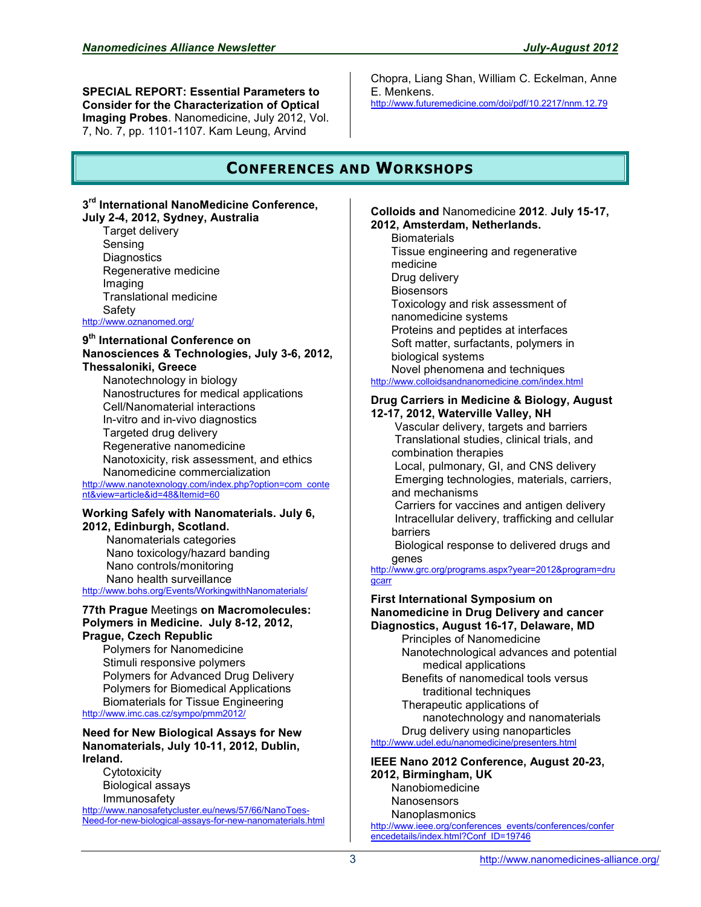**SPECIAL REPORT: Essential Parameters to Consider for the Characterization of Optical Imaging Probes**. Nanomedicine, July 2012, Vol. 7, No. 7, pp. 1101-1107. Kam Leung, Arvind

Chopra, Liang Shan, William C. Eckelman, Anne E. Menkens. <http://www.futuremedicine.com/doi/pdf/10.2217/nnm.12.79>

## **CONFERENCES AND WORKSHOPS**

#### **3 rd International NanoMedicine Conference, July 2-4, 2012, Sydney, Australia**

Target delivery Sensing **Diagnostics** Regenerative medicine Imaging Translational medicine **Safety** <http://www.oznanomed.org/>

#### **9 th International Conference on Nanosciences & Technologies, July 3-6, 2012, Thessaloniki, Greece**

Nanotechnology in biology Nanostructures for medical applications Cell/Nanomaterial interactions In-vitro and in-vivo diagnostics Targeted drug delivery Regenerative nanomedicine Nanotoxicity, risk assessment, and ethics Nanomedicine commercialization

[http://www.nanotexnology.com/index.php?option=com\\_conte](http://www.nanotexnology.com/index.php?option=com_content&view=article&id=48&Itemid=60) [nt&view=article&id=48&Itemid=60](http://www.nanotexnology.com/index.php?option=com_content&view=article&id=48&Itemid=60)

#### **Working Safely with Nanomaterials. July 6, 2012, Edinburgh, Scotland.**

 Nanomaterials categories Nano toxicology/hazard banding Nano controls/monitoring Nano health surveillance

<http://www.bohs.org/Events/WorkingwithNanomaterials/>

#### **77th Prague** Meetings **on Macromolecules: Polymers in Medicine. July 8-12, 2012, Prague, Czech Republic**

Polymers for Nanomedicine Stimuli responsive polymers Polymers for Advanced Drug Delivery Polymers for Biomedical Applications Biomaterials for Tissue Engineering <http://www.imc.cas.cz/sympo/pmm2012/>

**Need for New Biological Assays for New Nanomaterials, July 10-11, 2012, Dublin, Ireland.** 

**Cytotoxicity** Biological assays Immunosafety

[http://www.nanosafetycluster.eu/news/57/66/NanoToes-](http://www.nanosafetycluster.eu/news/57/66/NanoToes-Need-for-new-biological-assays-for-new-nanomaterials.html)[Need-for-new-biological-assays-for-new-nanomaterials.html](http://www.nanosafetycluster.eu/news/57/66/NanoToes-Need-for-new-biological-assays-for-new-nanomaterials.html) **Colloids and** Nanomedicine **2012**. **July 15-17, 2012, Amsterdam, Netherlands.** 

**Biomaterials** Tissue engineering and regenerative medicine Drug delivery **Biosensors** Toxicology and risk assessment of nanomedicine systems Proteins and peptides at interfaces Soft matter, surfactants, polymers in biological systems Novel phenomena and techniques <http://www.colloidsandnanomedicine.com/index.html>

#### **Drug Carriers in Medicine & Biology, August 12-17, 2012, Waterville Valley, NH**

 Vascular delivery, targets and barriers Translational studies, clinical trials, and combination therapies

 Local, pulmonary, GI, and CNS delivery Emerging technologies, materials, carriers, and mechanisms

 Carriers for vaccines and antigen delivery Intracellular delivery, trafficking and cellular barriers

 Biological response to delivered drugs and genes

[http://www.grc.org/programs.aspx?year=2012&program=dru](http://www.grc.org/programs.aspx?year=2012&program=drugcarr) **[gcarr](http://www.grc.org/programs.aspx?year=2012&program=drugcarr)** 

**First International Symposium on Nanomedicine in Drug Delivery and cancer Diagnostics, August 16-17, Delaware, MD** Principles of Nanomedicine Nanotechnological advances and potential medical applications Benefits of nanomedical tools versus traditional techniques Therapeutic applications of

nanotechnology and nanomaterials Drug delivery using nanoparticles

<http://www.udel.edu/nanomedicine/presenters.html>

**IEEE Nano 2012 Conference, August 20-23, 2012, Birmingham, UK** Nanobiomedicine **Nanosensors** 

Nanoplasmonics [http://www.ieee.org/conferences\\_events/conferences/confer](http://www.ieee.org/conferences_events/conferences/conferencedetails/index.html?Conf_ID=19746) [encedetails/index.html?Conf\\_ID=19746](http://www.ieee.org/conferences_events/conferences/conferencedetails/index.html?Conf_ID=19746)

3 http://www.nanomedicines-alliance.org/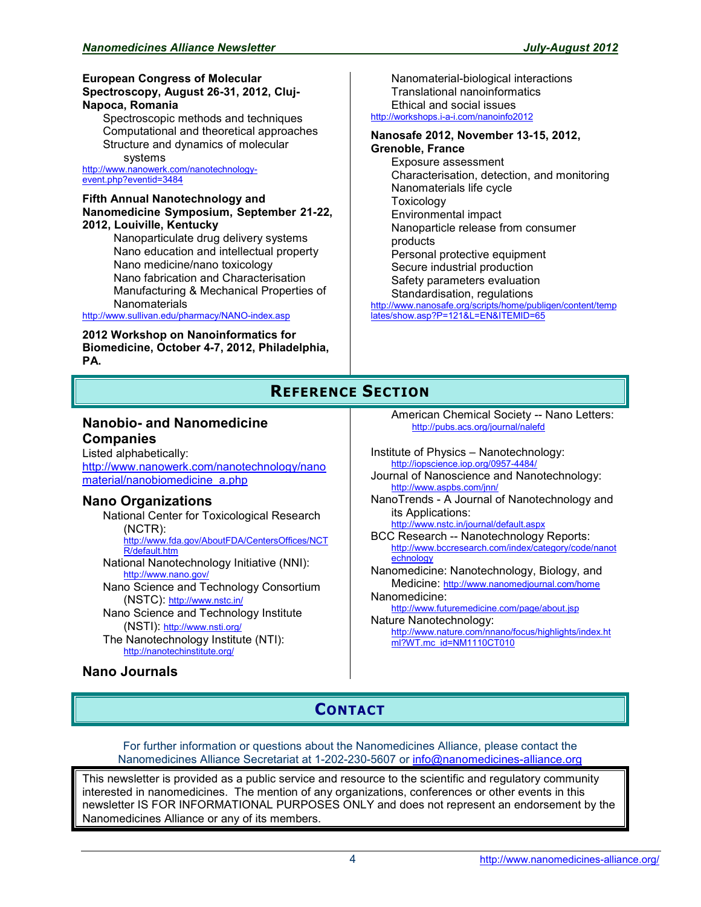#### **European Congress of Molecular Spectroscopy, August 26-31, 2012, Cluj-Napoca, Romania**

Spectroscopic methods and techniques Computational and theoretical approaches Structure and dynamics of molecular systems

[http://www.nanowerk.com/nanotechnology](http://www.nanowerk.com/nanotechnology-event.php?eventid=3484)[event.php?eventid=3484](http://www.nanowerk.com/nanotechnology-event.php?eventid=3484)

#### **Fifth Annual Nanotechnology and Nanomedicine Symposium, September 21-22, 2012, Louiville, Kentucky**

Nanoparticulate drug delivery systems Nano education and intellectual property Nano medicine/nano toxicology Nano fabrication and Characterisation Manufacturing & Mechanical Properties of **Nanomaterials** 

<http://www.sullivan.edu/pharmacy/NANO-index.asp>

#### **2012 Workshop on Nanoinformatics for Biomedicine, October 4-7, 2012, Philadelphia, PA.**

Nanomaterial-biological interactions Translational nanoinformatics Ethical and social issues <http://workshops.i-a-i.com/nanoinfo2012>

#### **Nanosafe 2012, November 13-15, 2012, Grenoble, France**

Exposure assessment Characterisation, detection, and monitoring Nanomaterials life cycle Toxicology Environmental impact Nanoparticle release from consumer products Personal protective equipment Secure industrial production Safety parameters evaluation Standardisation, regulations [http://www.nanosafe.org/scripts/home/publigen/content/temp](http://www.nanosafe.org/scripts/home/publigen/content/templates/show.asp?P=121&L=EN&ITEMID=65)

[lates/show.asp?P=121&L=EN&ITEMID=65](http://www.nanosafe.org/scripts/home/publigen/content/templates/show.asp?P=121&L=EN&ITEMID=65)

# **REFERENCE SECTION**

### **Nanobio- and Nanomedicine Companies**

Listed alphabetically: [http://www.nanowerk.com/nanotechnology/nano](http://www.nanowerk.com/nanotechnology/nanomaterial/nanobiomedicine_a.php) [material/nanobiomedicine\\_a.php](http://www.nanowerk.com/nanotechnology/nanomaterial/nanobiomedicine_a.php)

## **Nano Organizations**

National Center for Toxicological Research (NCTR): [http://www.fda.gov/AboutFDA/CentersOffices/NCT](http://www.fda.gov/AboutFDA/CentersOffices/NCTR/default.htm) [R/default.htm](http://www.fda.gov/AboutFDA/CentersOffices/NCTR/default.htm) National Nanotechnology Initiative (NNI): <http://www.nano.gov/> Nano Science and Technology Consortium (NSTC): <http://www.nstc.in/> Nano Science and Technology Institute (NSTI): <http://www.nsti.org/> The Nanotechnology Institute (NTI): <http://nanotechinstitute.org/>

## **Nano Journals**

American Chemical Society -- Nano Letters: <http://pubs.acs.org/journal/nalefd>

Institute of Physics – Nanotechnology: <http://iopscience.iop.org/0957-4484/>

- Journal of Nanoscience and Nanotechnology: <http://www.aspbs.com/jnn/>
- NanoTrends A Journal of Nanotechnology and its Applications:

<http://www.nstc.in/journal/default.aspx> BCC Research -- Nanotechnology Reports:

[http://www.bccresearch.com/index/category/code/nanot](http://www.bccresearch.com/index/category/code/nanotechnology) [echnology](http://www.bccresearch.com/index/category/code/nanotechnology) Nanomedicine: Nanotechnology, Biology, and

Medicine: <http://www.nanomedjournal.com/home> Nanomedicine:

<http://www.futuremedicine.com/page/about.jsp> Nature Nanotechnology:

[http://www.nature.com/nnano/focus/highlights/index.ht](http://www.nature.com/nnano/focus/highlights/index.html?WT.mc_id=NM1110CT010) [ml?WT.mc\\_id=NM1110CT010](http://www.nature.com/nnano/focus/highlights/index.html?WT.mc_id=NM1110CT010)

# **CONTACT**

For further information or questions about the Nanomedicines Alliance, please contact the Nanomedicines Alliance Secretariat at 1-202-230-5607 or [info@nanomedicines-alliance.org](mailto:info@nanomedicines-alliance.org)

This newsletter is provided as a public service and resource to the scientific and regulatory community interested in nanomedicines. The mention of any organizations, conferences or other events in this newsletter IS FOR INFORMATIONAL PURPOSES ONLY and does not represent an endorsement by the Nanomedicines Alliance or any of its members.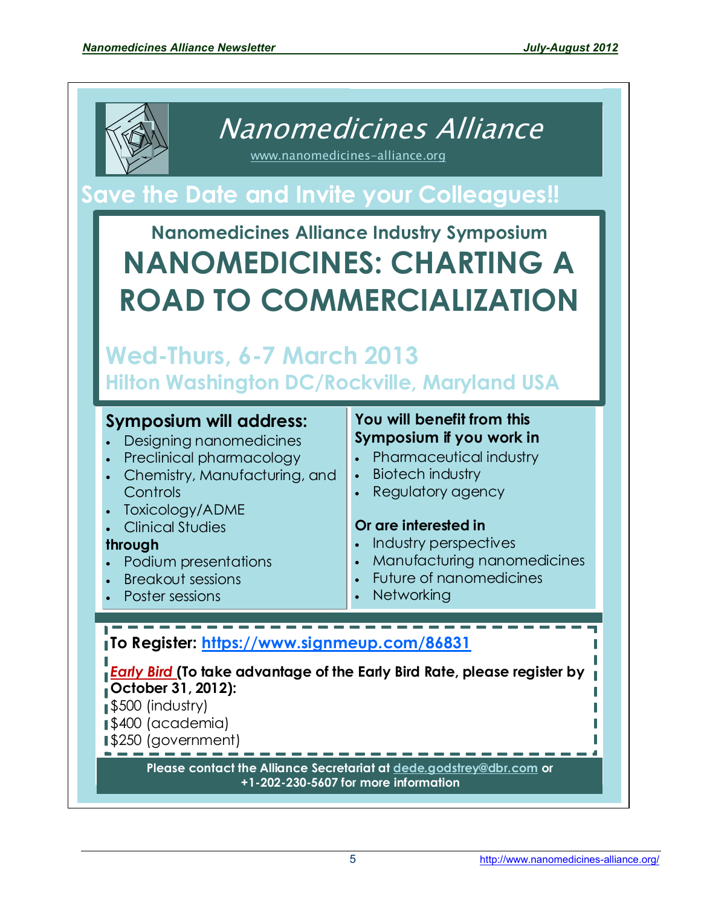